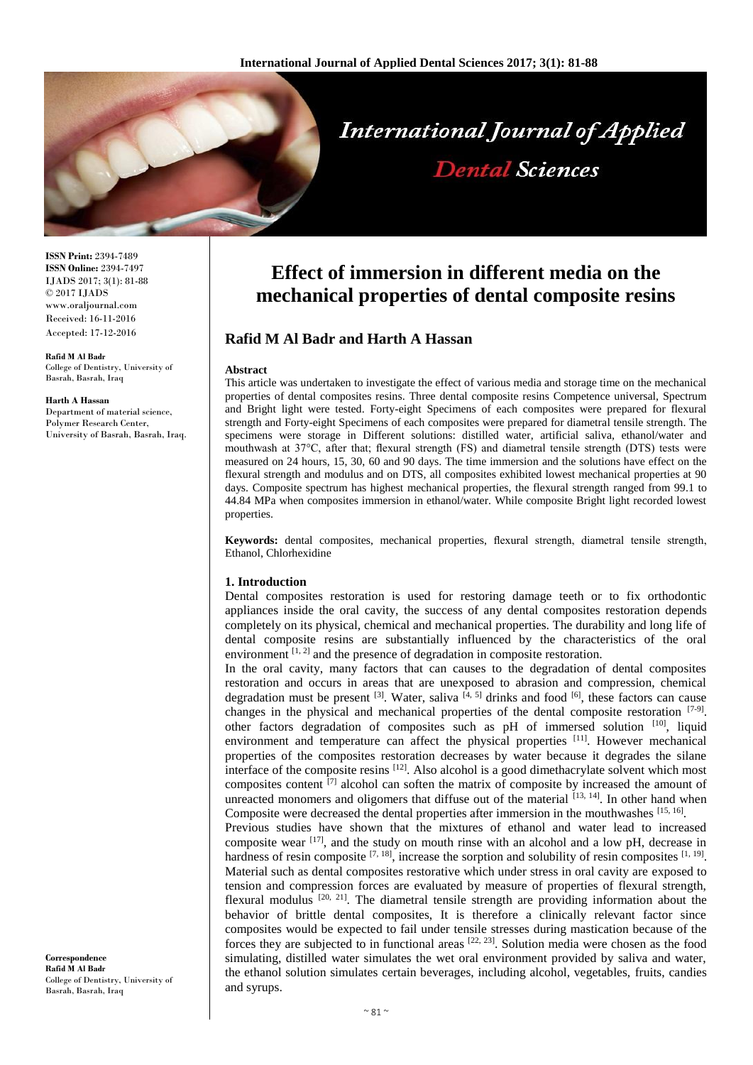

**ISSN Print:** 2394-7489 **ISSN Online:** 2394-7497 IJADS 2017; 3(1): 81-88 © 2017 IJADS www.oraljournal.com Received: 16-11-2016 Accepted: 17-12-2016

**Rafid M Al Badr**  College of Dentistry, University of Basrah, Basrah, Iraq

#### **Harth A Hassan**

Department of material science, Polymer Research Center, University of Basrah, Basrah, Iraq.

**Effect of immersion in different media on the mechanical properties of dental composite resins**

# **Rafid M Al Badr and Harth A Hassan**

#### **Abstract**

This article was undertaken to investigate the effect of various media and storage time on the mechanical properties of dental composites resins. Three dental composite resins Competence universal, Spectrum and Bright light were tested. Forty-eight Specimens of each composites were prepared for flexural strength and Forty-eight Specimens of each composites were prepared for diametral tensile strength. The specimens were storage in Different solutions: distilled water, artificial saliva, ethanol/water and mouthwash at 37°C, after that; flexural strength (FS) and diametral tensile strength (DTS) tests were measured on 24 hours, 15, 30, 60 and 90 days. The time immersion and the solutions have effect on the flexural strength and modulus and on DTS, all composites exhibited lowest mechanical properties at 90 days. Composite spectrum has highest mechanical properties, the flexural strength ranged from 99.1 to 44.84 MPa when composites immersion in ethanol/water. While composite Bright light recorded lowest properties.

**Keywords:** dental composites, mechanical properties, flexural strength, diametral tensile strength, Ethanol, Chlorhexidine

#### **1. Introduction**

Dental composites restoration is used for restoring damage teeth or to fix orthodontic appliances inside the oral cavity, the success of any dental composites restoration depends completely on its physical, chemical and mechanical properties. The durability and long life of dental composite resins are substantially influenced by the characteristics of the oral environment  $[1, 2]$  and the presence of degradation in composite restoration.

In the oral cavity, many factors that can causes to the degradation of dental composites restoration and occurs in areas that are unexposed to abrasion and compression, chemical degradation must be present  $^{[3]}$ . Water, saliva  $^{[4, 5]}$  drinks and food  $^{[6]}$ , these factors can cause changes in the physical and mechanical properties of the dental composite restoration  $[7-9]$ . other factors degradation of composites such as pH of immersed solution [10], liquid environment and temperature can affect the physical properties  $[11]$ . However mechanical properties of the composites restoration decreases by water because it degrades the silane interface of the composite resins  $^{[12]}$ . Also alcohol is a good dimethacrylate solvent which most composites content  $\left[7\right]$  alcohol can soften the matrix of composite by increased the amount of unreacted monomers and oligomers that diffuse out of the material  $^{[13, 14]}$ . In other hand when Composite were decreased the dental properties after immersion in the mouthwashes [15, 16].

Previous studies have shown that the mixtures of ethanol and water lead to increased composite wear  $[17]$ , and the study on mouth rinse with an alcohol and a low pH, decrease in hardness of resin composite  $[7, 18]$ , increase the sorption and solubility of resin composites  $[1, 19]$ . Material such as dental composites restorative which under stress in oral cavity are exposed to tension and compression forces are evaluated by measure of properties of flexural strength, flexural modulus  $[20, 21]$ . The diametral tensile strength are providing information about the behavior of brittle dental composites, It is therefore a clinically relevant factor since composites would be expected to fail under tensile stresses during mastication because of the forces they are subjected to in functional areas  $[22, 23]$ . Solution media were chosen as the food simulating, distilled water simulates the wet oral environment provided by saliva and water, the ethanol solution simulates certain beverages, including alcohol, vegetables, fruits, candies and syrups.

**Correspondence Rafid M Al Badr**  College of Dentistry, University of Basrah, Basrah, Iraq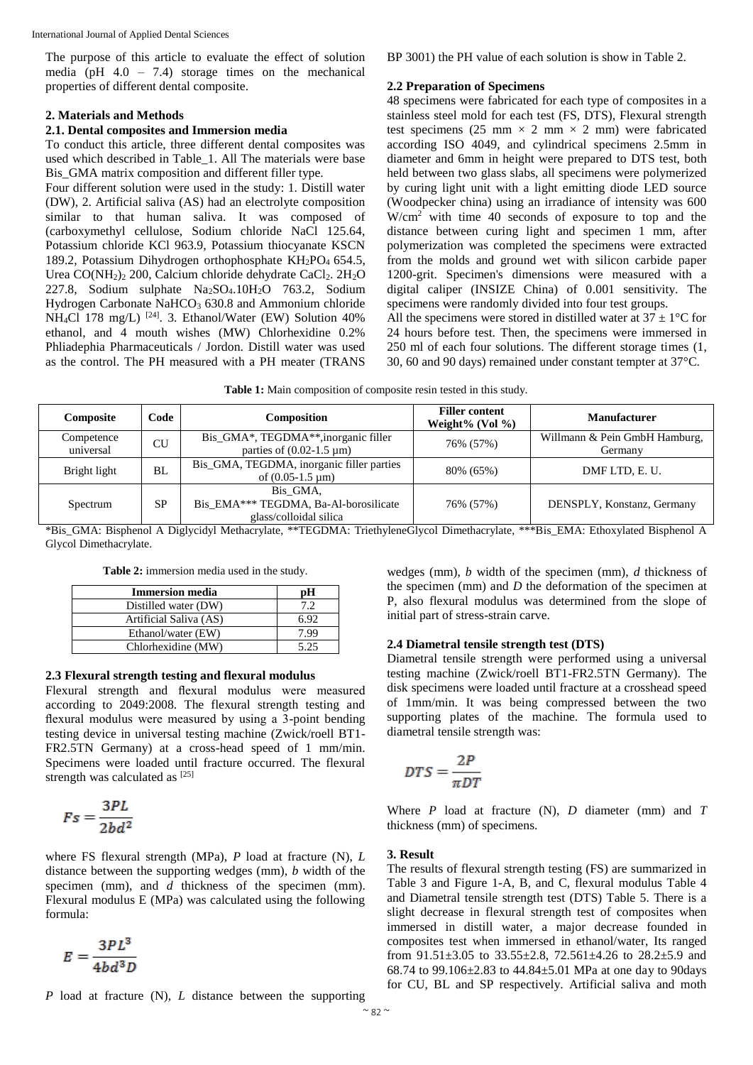The purpose of this article to evaluate the effect of solution media (pH 4.0 – 7.4) storage times on the mechanical properties of different dental composite.

#### **2. Materials and Methods**

## **2.1. Dental composites and Immersion media**

To conduct this article, three different dental composites was used which described in Table\_1. All The materials were base Bis\_GMA matrix composition and different filler type.

Four different solution were used in the study: 1. Distill water (DW), 2. Artificial saliva (AS) had an electrolyte composition similar to that human saliva. It was composed of (carboxymethyl cellulose, Sodium chloride NaCl 125.64, Potassium chloride KCl 963.9, Potassium thiocyanate KSCN 189.2, Potassium Dihydrogen orthophosphate  $KH_2PO_4$  654.5, Urea  $CO(NH_2)_2$  200, Calcium chloride dehydrate CaCl<sub>2</sub>. 2H<sub>2</sub>O 227.8, Sodium sulphate Na2SO4.10H2O 763.2, Sodium Hydrogen Carbonate  $NaHCO<sub>3</sub>$  630.8 and Ammonium chloride NH<sub>4</sub>Cl 178 mg/L)<sup>[24]</sup>. 3. Ethanol/Water (EW) Solution 40% ethanol, and 4 mouth wishes (MW) Chlorhexidine 0.2% Phliadephia Pharmaceuticals / Jordon. Distill water was used as the control. The PH measured with a PH meater (TRANS

BP 3001) the PH value of each solution is show in Table 2.

#### **2.2 Preparation of Specimens**

48 specimens were fabricated for each type of composites in a stainless steel mold for each test (FS, DTS), Flexural strength test specimens (25 mm  $\times$  2 mm  $\times$  2 mm) were fabricated according ISO 4049, and cylindrical specimens 2.5mm in diameter and 6mm in height were prepared to DTS test, both held between two glass slabs, all specimens were polymerized by curing light unit with a light emitting diode LED source (Woodpecker china) using an irradiance of intensity was 600 W/cm<sup>2</sup> with time 40 seconds of exposure to top and the distance between curing light and specimen 1 mm, after polymerization was completed the specimens were extracted from the molds and ground wet with silicon carbide paper 1200-grit. Specimen's dimensions were measured with a digital caliper (INSIZE China) of 0.001 sensitivity. The specimens were randomly divided into four test groups.

All the specimens were stored in distilled water at  $37 \pm 1$ °C for 24 hours before test. Then, the specimens were immersed in 250 ml of each four solutions. The different storage times (1, 30, 60 and 90 days) remained under constant tempter at 37°C.

**Table 1:** Main composition of composite resin tested in this study.

| Composite               | Code      | Composition                                                                         | <b>Filler content</b><br>Weight% (Vol $\%$ ) | <b>Manufacturer</b>                      |
|-------------------------|-----------|-------------------------------------------------------------------------------------|----------------------------------------------|------------------------------------------|
| Competence<br>universal | CU        | Bis_GMA*, TEGDMA**, inorganic filler<br>parties of $(0.02-1.5 \text{ }\mu\text{m})$ | 76% (57%)                                    | Willmann & Pein GmbH Hamburg,<br>Germany |
| Bright light            | <b>BL</b> | Bis_GMA, TEGDMA, inorganic filler parties<br>of $(0.05-1.5 \text{ µm})$             | 80% (65%)                                    | DMF LTD, E. U.                           |
| Spectrum                | <b>SP</b> | Bis GMA.<br>Bis EMA*** TEGDMA, Ba-Al-borosilicate<br>glass/colloidal silica         | 76% (57%)                                    | DENSPLY, Konstanz, Germany               |

\*Bis\_GMA: Bisphenol A Diglycidyl Methacrylate, \*\*TEGDMA: TriethyleneGlycol Dimethacrylate, \*\*\*Bis\_EMA: Ethoxylated Bisphenol A Glycol Dimethacrylate.

**Table 2:** immersion media used in the study.

| <b>Immersion media</b> |      |
|------------------------|------|
| Distilled water (DW)   |      |
| Artificial Saliva (AS) | 6.92 |
| Ethanol/water (EW)     | 799  |
| Chlorhexidine (MW)     | 5 25 |

#### **2.3 Flexural strength testing and flexural modulus**

Flexural strength and flexural modulus were measured according to 2049:2008. The flexural strength testing and flexural modulus were measured by using a 3-point bending testing device in universal testing machine (Zwick/roell BT1- FR2.5TN Germany) at a cross-head speed of 1 mm/min. Specimens were loaded until fracture occurred. The flexural strength was calculated as [25]

$$
Fs = \frac{3PL}{2bd^2}
$$

where FS flexural strength (MPa), *P* load at fracture (N), *L* distance between the supporting wedges (mm), *b* width of the specimen (mm), and *d* thickness of the specimen (mm). Flexural modulus E (MPa) was calculated using the following formula:

$$
E=\frac{3PL^3}{4bd^3D}
$$

*P* load at fracture (N), *L* distance between the supporting

wedges (mm), *b* width of the specimen (mm), *d* thickness of the specimen (mm) and *D* the deformation of the specimen at P, also flexural modulus was determined from the slope of initial part of stress-strain carve.

### **2.4 Diametral tensile strength test (DTS)**

Diametral tensile strength were performed using a universal testing machine (Zwick/roell BT1-FR2.5TN Germany). The disk specimens were loaded until fracture at a crosshead speed of 1mm/min. It was being compressed between the two supporting plates of the machine. The formula used to diametral tensile strength was:

$$
DTS = \frac{2P}{\pi DT}
$$

Where *P* load at fracture (N), *D* diameter (mm) and *T* thickness (mm) of specimens.

### **3. Result**

The results of flexural strength testing (FS) are summarized in Table 3 and Figure 1-A, B, and C, flexural modulus Table 4 and Diametral tensile strength test (DTS) Table 5. There is a slight decrease in flexural strength test of composites when immersed in distill water, a major decrease founded in composites test when immersed in ethanol/water, Its ranged from 91.51±3.05 to 33.55±2.8, 72.561±4.26 to 28.2±5.9 and 68.74 to 99.106±2.83 to 44.84±5.01 MPa at one day to 90days for CU, BL and SP respectively. Artificial saliva and moth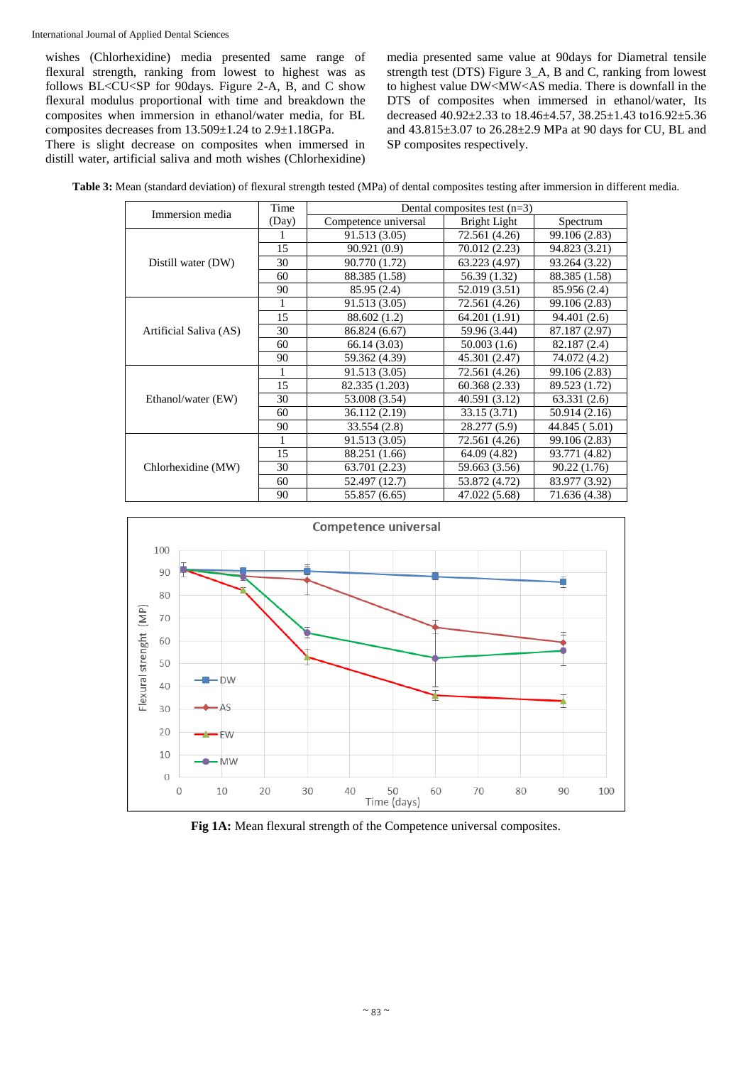wishes (Chlorhexidine) media presented same range of flexural strength, ranking from lowest to highest was as follows BL<CU<SP for 90days. Figure 2-A, B, and C show flexural modulus proportional with time and breakdown the composites when immersion in ethanol/water media, for BL composites decreases from 13.509±1.24 to 2.9±1.18GPa.

There is slight decrease on composites when immersed in distill water, artificial saliva and moth wishes (Chlorhexidine) media presented same value at 90days for Diametral tensile strength test (DTS) Figure 3\_A, B and C, ranking from lowest to highest value DW<MW<AS media. There is downfall in the DTS of composites when immersed in ethanol/water, Its decreased 40.92±2.33 to 18.46±4.57, 38.25±1.43 to16.92±5.36 and 43.815±3.07 to 26.28±2.9 MPa at 90 days for CU, BL and SP composites respectively.

**Table 3:** Mean (standard deviation) of flexural strength tested (MPa) of dental composites testing after immersion in different media.

| Immersion media        | Time  | Dental composites test $(n=3)$ |               |               |
|------------------------|-------|--------------------------------|---------------|---------------|
|                        | (Day) | Competence universal           | Bright Light  | Spectrum      |
|                        | 1     | 91.513 (3.05)                  | 72.561 (4.26) | 99.106 (2.83) |
|                        | 15    | 90.921 (0.9)                   | 70.012 (2.23) | 94.823 (3.21) |
| Distill water (DW)     | 30    | 90.770 (1.72)                  | 63.223 (4.97) | 93.264 (3.22) |
|                        | 60    | 88.385 (1.58)                  | 56.39 (1.32)  | 88.385 (1.58) |
|                        | 90    | 85.95 (2.4)                    | 52.019 (3.51) | 85.956 (2.4)  |
|                        | 1     | 91.513 (3.05)                  | 72.561 (4.26) | 99.106 (2.83) |
|                        | 15    | 88.602 (1.2)                   | 64.201 (1.91) | 94.401 (2.6)  |
| Artificial Saliva (AS) | 30    | 86.824 (6.67)                  | 59.96 (3.44)  | 87.187 (2.97) |
|                        | 60    | 66.14(3.03)                    | 50.003(1.6)   | 82.187 (2.4)  |
|                        | 90    | 59.362 (4.39)                  | 45.301 (2.47) | 74.072 (4.2)  |
|                        | 1     | 91.513 (3.05)                  | 72.561 (4.26) | 99.106 (2.83) |
|                        | 15    | 82.335 (1.203)                 | 60.368(2.33)  | 89.523 (1.72) |
| Ethanol/water (EW)     | 30    | 53.008 (3.54)                  | 40.591 (3.12) | 63.331(2.6)   |
|                        | 60    | 36.112 (2.19)                  | 33.15 (3.71)  | 50.914 (2.16) |
|                        | 90    | 33.554(2.8)                    | 28.277 (5.9)  | 44.845 (5.01) |
|                        | 1     | 91.513 (3.05)                  | 72.561 (4.26) | 99.106 (2.83) |
|                        | 15    | 88.251 (1.66)                  | 64.09 (4.82)  | 93.771 (4.82) |
| Chlorhexidine (MW)     | 30    | 63.701 (2.23)                  | 59.663 (3.56) | 90.22(1.76)   |
|                        | 60    | 52.497 (12.7)                  | 53.872 (4.72) | 83.977 (3.92) |
|                        | 90    | 55.857 (6.65)                  | 47.022 (5.68) | 71.636 (4.38) |



**Fig 1A:** Mean flexural strength of the Competence universal composites.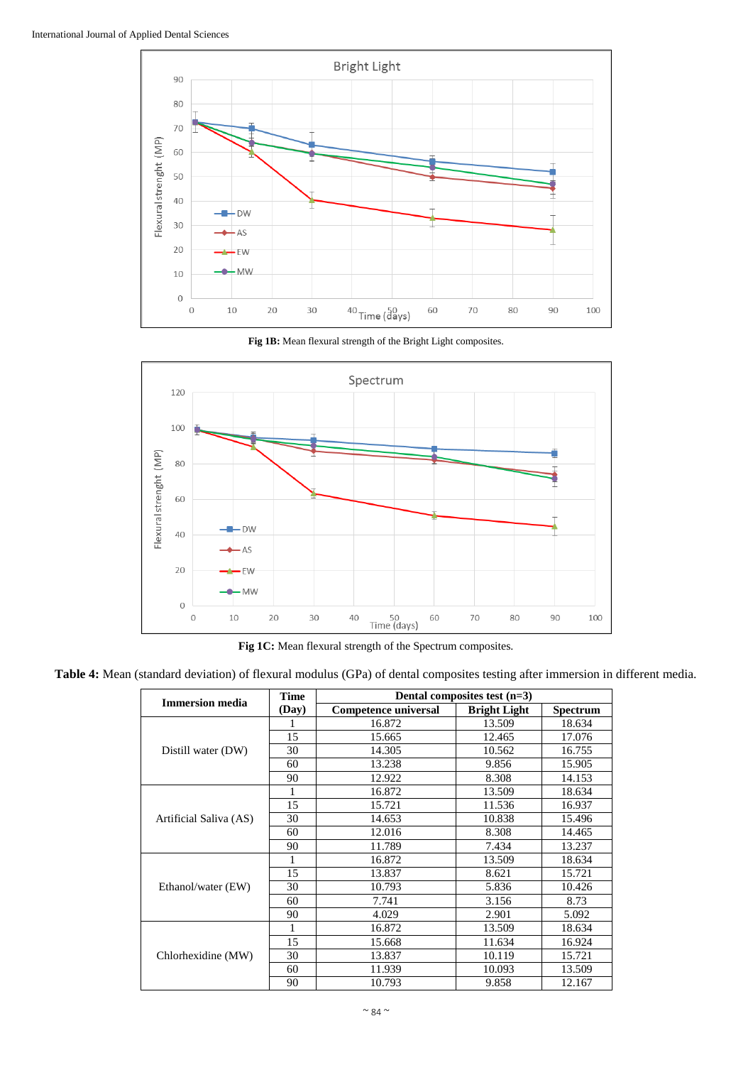

**Fig 1B:** Mean flexural strength of the Bright Light composites.



**Fig 1C:** Mean flexural strength of the Spectrum composites.

**Table 4:** Mean (standard deviation) of flexural modulus (GPa) of dental composites testing after immersion in different media.

|                        | <b>Time</b> | Dental composites test $(n=3)$ |                     |                 |
|------------------------|-------------|--------------------------------|---------------------|-----------------|
| <b>Immersion</b> media | (Day)       | <b>Competence universal</b>    | <b>Bright Light</b> | <b>Spectrum</b> |
|                        |             | 16.872                         | 13.509              | 18.634          |
|                        | 15          | 15.665                         | 12.465              | 17.076          |
| Distill water (DW)     | 30          | 14.305                         | 10.562              | 16.755          |
|                        | 60          | 13.238                         | 9.856               | 15.905          |
|                        | 90          | 12.922                         | 8.308               | 14.153          |
|                        |             | 16.872                         | 13.509              | 18.634          |
|                        | 15          | 15.721                         | 11.536              | 16.937          |
| Artificial Saliva (AS) | 30          | 14.653                         | 10.838              | 15.496          |
|                        | 60          | 12.016                         | 8.308               | 14.465          |
|                        | 90          | 11.789                         | 7.434               | 13.237          |
|                        |             | 16.872                         | 13.509              | 18.634          |
|                        | 15          | 13.837                         | 8.621               | 15.721          |
| Ethanol/water (EW)     | 30          | 10.793                         | 5.836               | 10.426          |
|                        | 60          | 7.741                          | 3.156               | 8.73            |
|                        | 90          | 4.029                          | 2.901               | 5.092           |
|                        |             | 16.872                         | 13.509              | 18.634          |
|                        | 15          | 15.668                         | 11.634              | 16.924          |
| Chlorhexidine (MW)     | 30          | 13.837                         | 10.119              | 15.721          |
|                        | 60          | 11.939                         | 10.093              | 13.509          |
|                        | 90          | 10.793                         | 9.858               | 12.167          |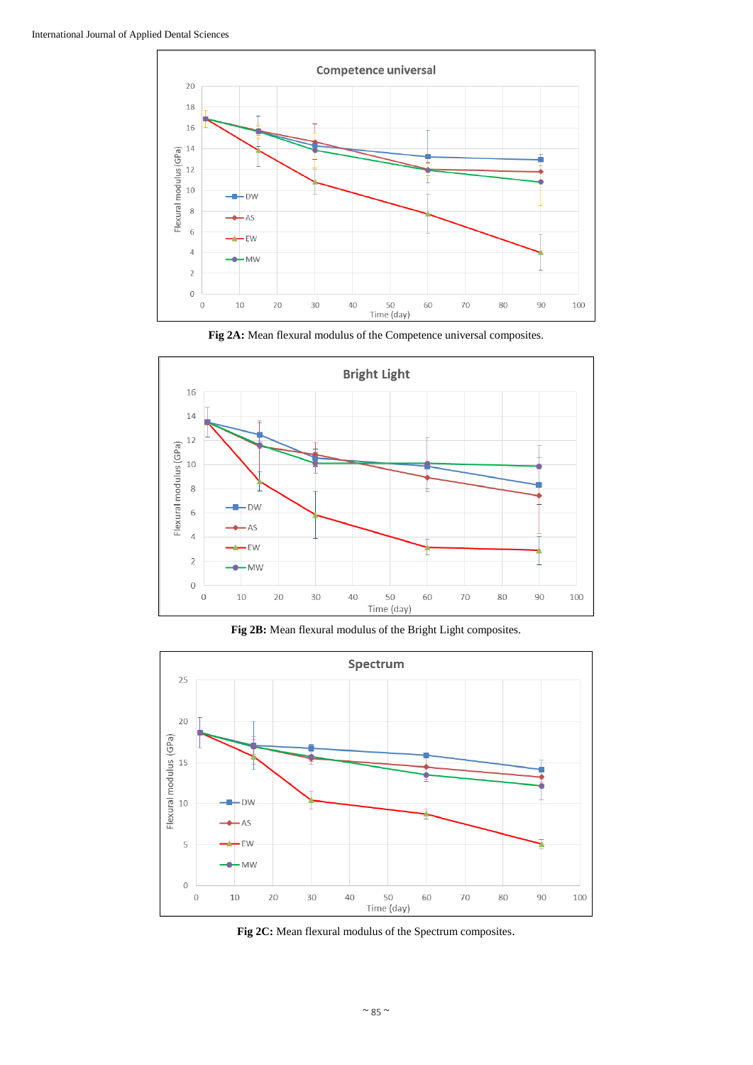

**Fig 2A:** Mean flexural modulus of the Competence universal composites.



**Fig 2B:** Mean flexural modulus of the Bright Light composites.



**Fig 2C:** Mean flexural modulus of the Spectrum composites.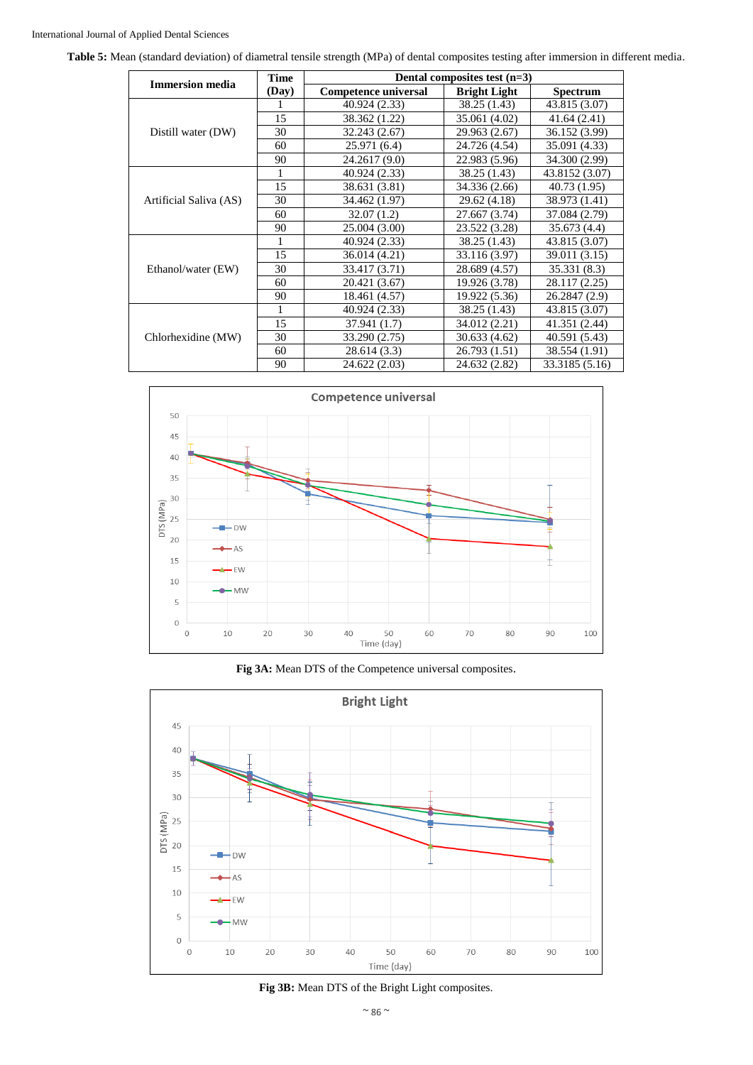**Table 5:** Mean (standard deviation) of diametral tensile strength (MPa) of dental composites testing after immersion in different media.

| <b>Immersion media</b> | <b>Time</b> | Dental composites test $(n=3)$ |                     |                 |
|------------------------|-------------|--------------------------------|---------------------|-----------------|
|                        | (Day)       | <b>Competence universal</b>    | <b>Bright Light</b> | <b>Spectrum</b> |
|                        |             | 40.924 (2.33)                  | 38.25 (1.43)        | 43.815 (3.07)   |
|                        | 15          | 38.362 (1.22)                  | 35.061 (4.02)       | 41.64 (2.41)    |
| Distill water (DW)     | 30          | 32.243 (2.67)                  | 29.963 (2.67)       | 36.152 (3.99)   |
|                        | 60          | 25.971 (6.4)                   | 24.726 (4.54)       | 35.091 (4.33)   |
|                        | 90          | 24.2617 (9.0)                  | 22.983 (5.96)       | 34.300 (2.99)   |
|                        | 1           | 40.924 (2.33)                  | 38.25 (1.43)        | 43.8152 (3.07)  |
|                        | 15          | 38.631 (3.81)                  | 34.336 (2.66)       | 40.73 (1.95)    |
| Artificial Saliva (AS) | 30          | 34.462 (1.97)                  | 29.62 (4.18)        | 38.973 (1.41)   |
|                        | 60          | 32.07(1.2)                     | 27.667 (3.74)       | 37.084 (2.79)   |
|                        | 90          | 25.004 (3.00)                  | 23.522 (3.28)       | 35.673(4.4)     |
|                        |             | 40.924 (2.33)                  | 38.25 (1.43)        | 43.815 (3.07)   |
|                        | 15          | 36.014 (4.21)                  | 33.116 (3.97)       | 39.011 (3.15)   |
| Ethanol/water (EW)     | 30          | 33.417 (3.71)                  | 28.689 (4.57)       | 35.331 (8.3)    |
|                        | 60          | 20.421 (3.67)                  | 19.926 (3.78)       | 28.117 (2.25)   |
|                        | 90          | 18.461 (4.57)                  | 19.922 (5.36)       | 26.2847 (2.9)   |
|                        |             | 40.924 (2.33)                  | 38.25 (1.43)        | 43.815 (3.07)   |
|                        | 15          | 37.941 (1.7)                   | 34.012 (2.21)       | 41.351 (2.44)   |
| Chlorhexidine (MW)     | 30          | 33.290 (2.75)                  | 30.633 (4.62)       | 40.591 (5.43)   |
|                        | 60          | 28.614(3.3)                    | 26.793 (1.51)       | 38.554 (1.91)   |
|                        | 90          | 24.622 (2.03)                  | 24.632 (2.82)       | 33.3185 (5.16)  |







**Fig 3B:** Mean DTS of the Bright Light composites.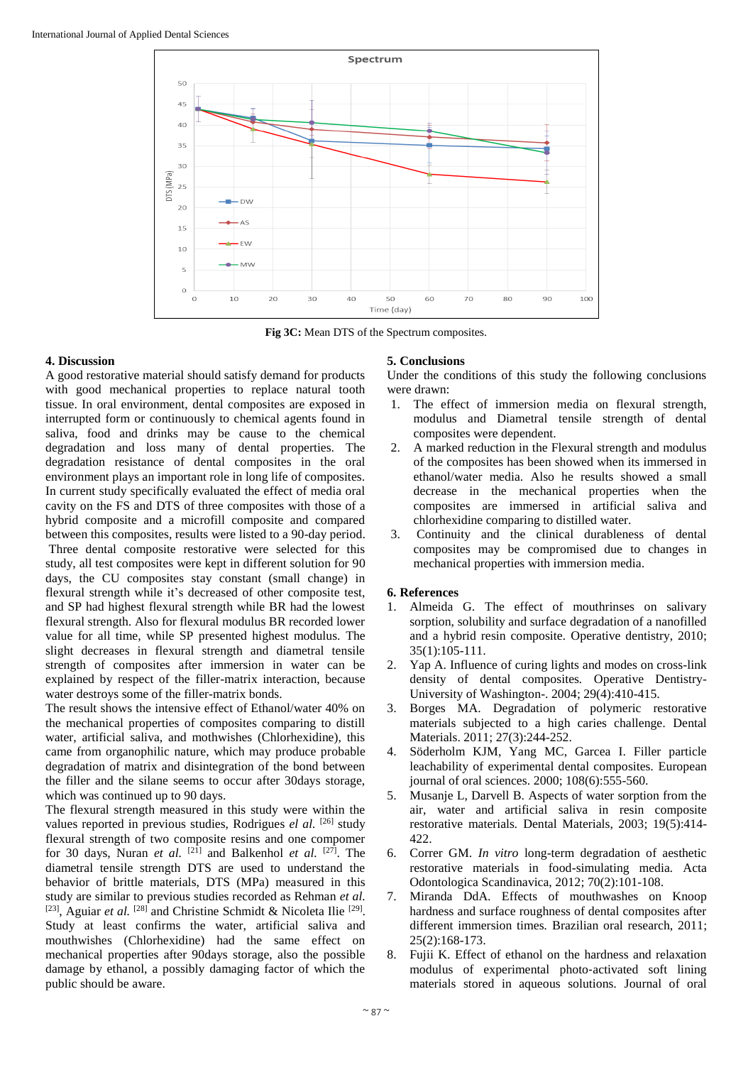

**Fig 3C:** Mean DTS of the Spectrum composites.

## **4. Discussion**

A good restorative material should satisfy demand for products with good mechanical properties to replace natural tooth tissue. In oral environment, dental composites are exposed in interrupted form or continuously to chemical agents found in saliva, food and drinks may be cause to the chemical degradation and loss many of dental properties. The degradation resistance of dental composites in the oral environment plays an important role in long life of composites. In current study specifically evaluated the effect of media oral cavity on the FS and DTS of three composites with those of a hybrid composite and a microfill composite and compared between this composites, results were listed to a 90-day period. Three dental composite restorative were selected for this study, all test composites were kept in different solution for 90 days, the CU composites stay constant (small change) in flexural strength while it's decreased of other composite test, and SP had highest flexural strength while BR had the lowest flexural strength. Also for flexural modulus BR recorded lower value for all time, while SP presented highest modulus. The slight decreases in flexural strength and diametral tensile strength of composites after immersion in water can be explained by respect of the filler-matrix interaction, because water destroys some of the filler-matrix bonds.

The result shows the intensive effect of Ethanol/water 40% on the mechanical properties of composites comparing to distill water, artificial saliva, and mothwishes (Chlorhexidine), this came from organophilic nature, which may produce probable degradation of matrix and disintegration of the bond between the filler and the silane seems to occur after 30days storage, which was continued up to 90 days.

The flexural strength measured in this study were within the values reported in previous studies, Rodrigues el al. <sup>[26]</sup> study flexural strength of two composite resins and one compomer for 30 days, Nuran *et al.* <sup>[21]</sup> and Balkenhol *et al.* <sup>[27]</sup>. The diametral tensile strength DTS are used to understand the behavior of brittle materials, DTS (MPa) measured in this study are similar to previous studies recorded as Rehman *et al.* <sup>[23]</sup>, Aguiar *et al.* <sup>[28]</sup> and Christine Schmidt & Nicoleta Ilie<sup>[29]</sup>. Study at least confirms the water, artificial saliva and mouthwishes (Chlorhexidine) had the same effect on mechanical properties after 90days storage, also the possible damage by ethanol, a possibly damaging factor of which the public should be aware.

## **5. Conclusions**

Under the conditions of this study the following conclusions were drawn:

- 1. The effect of immersion media on flexural strength, modulus and Diametral tensile strength of dental composites were dependent.
- 2. A marked reduction in the Flexural strength and modulus of the composites has been showed when its immersed in ethanol/water media. Also he results showed a small decrease in the mechanical properties when the composites are immersed in artificial saliva and chlorhexidine comparing to distilled water.
- 3. Continuity and the clinical durableness of dental composites may be compromised due to changes in mechanical properties with immersion media.

## **6. References**

- 1. Almeida G. The effect of mouthrinses on salivary sorption, solubility and surface degradation of a nanofilled and a hybrid resin composite*.* Operative dentistry, 2010; 35(1):105-111.
- 2. Yap A. Influence of curing lights and modes on cross-link density of dental composites*.* Operative Dentistry-University of Washington-. 2004; 29(4):410-415.
- 3. Borges MA. Degradation of polymeric restorative materials subjected to a high caries challenge*.* Dental Materials. 2011; 27(3):244-252.
- 4. Söderholm KJM, Yang MC, Garcea I. Filler particle leachability of experimental dental composites*.* European journal of oral sciences. 2000; 108(6):555-560.
- 5. Musanje L, Darvell B. Aspects of water sorption from the air, water and artificial saliva in resin composite restorative materials*.* Dental Materials, 2003; 19(5):414- 422.
- 6. Correr GM. *In vitro* long-term degradation of aesthetic restorative materials in food-simulating media*.* Acta Odontologica Scandinavica, 2012; 70(2):101-108.
- 7. Miranda DdA. Effects of mouthwashes on Knoop hardness and surface roughness of dental composites after different immersion times*.* Brazilian oral research, 2011; 25(2):168-173.
- Fujii K. Effect of ethanol on the hardness and relaxation modulus of experimental photo‐activated soft lining materials stored in aqueous solutions*.* Journal of oral